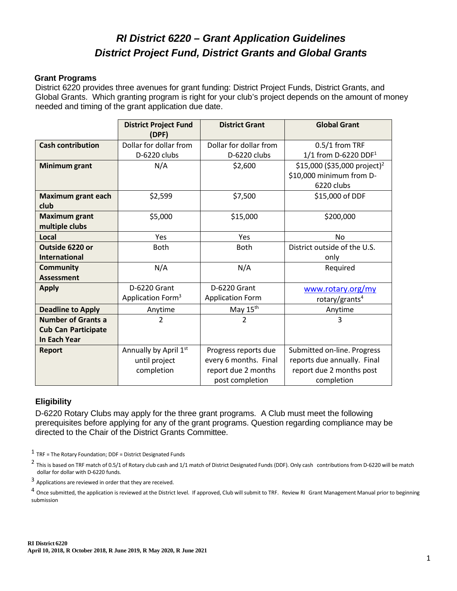# *RI District 6220 – Grant Application Guidelines District Project Fund, District Grants and Global Grants*

#### **Grant Programs**

District 6220 provides three avenues for grant funding: District Project Funds, District Grants, and Global Grants. Which granting program is right for your club's project depends on the amount of money needed and timing of the grant application due date.

|                            | <b>District Project Fund</b><br>(DPF) | <b>District Grant</b>   | <b>Global Grant</b>                      |  |
|----------------------------|---------------------------------------|-------------------------|------------------------------------------|--|
| <b>Cash contribution</b>   | Dollar for dollar from                | Dollar for dollar from  | 0.5/1 from TRF                           |  |
|                            | D-6220 clubs                          | D-6220 clubs            | 1/1 from D-6220 DDF <sup>1</sup>         |  |
| Minimum grant              | N/A                                   | \$2,600                 | \$15,000 (\$35,000 project) <sup>2</sup> |  |
|                            |                                       |                         | \$10,000 minimum from D-                 |  |
|                            |                                       |                         | 6220 clubs                               |  |
| <b>Maximum grant each</b>  | \$2,599                               | \$7,500                 | \$15,000 of DDF                          |  |
| club                       |                                       |                         |                                          |  |
| <b>Maximum grant</b>       | \$5,000                               | \$15,000                | \$200,000                                |  |
| multiple clubs             |                                       |                         |                                          |  |
| Local                      | Yes                                   | Yes                     | No                                       |  |
| Outside 6220 or            | <b>Both</b>                           | <b>Both</b>             | District outside of the U.S.             |  |
| <b>International</b>       |                                       |                         | only                                     |  |
| <b>Community</b>           | N/A                                   | N/A                     | Required                                 |  |
| <b>Assessment</b>          |                                       |                         |                                          |  |
| <b>Apply</b>               | D-6220 Grant                          | D-6220 Grant            | www.rotary.org/my                        |  |
|                            | Application Form <sup>3</sup>         | <b>Application Form</b> | rotary/grants <sup>4</sup>               |  |
| <b>Deadline to Apply</b>   | Anytime                               | May 15 <sup>th</sup>    | Anytime                                  |  |
| <b>Number of Grants a</b>  | 2                                     | $\overline{2}$          | 3                                        |  |
| <b>Cub Can Participate</b> |                                       |                         |                                          |  |
| <b>In Each Year</b>        |                                       |                         |                                          |  |
| <b>Report</b>              | Annually by April 1st                 | Progress reports due    | Submitted on-line. Progress              |  |
|                            | until project                         | every 6 months. Final   | reports due annually. Final              |  |
|                            | completion                            | report due 2 months     | report due 2 months post                 |  |
|                            |                                       | post completion         | completion                               |  |

#### **Eligibility**

D-6220 Rotary Clubs may apply for the three grant programs. A Club must meet the following prerequisites before applying for any of the grant programs. Question regarding compliance may be directed to the Chair of the District Grants Committee.

 $1$  TRF = The Rotary Foundation; DDF = District Designated Funds

<sup>3</sup> Applications are reviewed in order that they are received.

 $^4$  Once submitted, the application is reviewed at the District level. If approved, Club will submit to TRF. Review RI Grant Management Manual prior to beginning submission

<sup>&</sup>lt;sup>2</sup> This is based on TRF match of 0.5/1 of Rotary club cash and 1/1 match of District Designated Funds (DDF). Only cash contributions from D-6220 will be match dollar for dollar with D-6220 funds.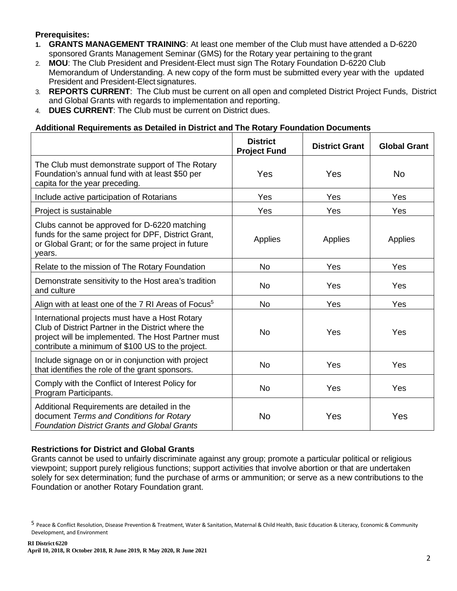## **Prerequisites:**

- **1. GRANTS MANAGEMENT TRAINING**: At least one member of the Club must have attended a D-6220 sponsored Grants Management Seminar (GMS) for the Rotary year pertaining to the grant
- 2. **MOU**: The Club President and President-Elect must sign The Rotary Foundation D-6220 Club Memorandum of Understanding. A new copy of the form must be submitted every year with the updated President and President-Elect signatures.
- 3. **REPORTS CURRENT**: The Club must be current on all open and completed District Project Funds, District and Global Grants with regards to implementation and reporting.
- 4. **DUES CURRENT**: The Club must be current on District dues.

#### **Additional Requirements as Detailed in District and The Rotary Foundation Documents**

|                                                                                                                                                                                                                | <b>District</b><br><b>Project Fund</b> | <b>District Grant</b> | <b>Global Grant</b> |
|----------------------------------------------------------------------------------------------------------------------------------------------------------------------------------------------------------------|----------------------------------------|-----------------------|---------------------|
| The Club must demonstrate support of The Rotary<br>Foundation's annual fund with at least \$50 per<br>capita for the year preceding.                                                                           | Yes                                    | Yes                   | <b>No</b>           |
| Include active participation of Rotarians                                                                                                                                                                      | Yes                                    | Yes                   | Yes                 |
| Project is sustainable                                                                                                                                                                                         | Yes                                    | Yes                   | Yes                 |
| Clubs cannot be approved for D-6220 matching<br>funds for the same project for DPF, District Grant,<br>or Global Grant; or for the same project in future<br>vears.                                            | Applies                                | Applies               | Applies             |
| Relate to the mission of The Rotary Foundation                                                                                                                                                                 | <b>No</b>                              | Yes                   | Yes                 |
| Demonstrate sensitivity to the Host area's tradition<br>and culture                                                                                                                                            | <b>No</b>                              | Yes                   | Yes                 |
| Align with at least one of the 7 RI Areas of Focus <sup>5</sup>                                                                                                                                                | <b>No</b>                              | Yes                   | Yes                 |
| International projects must have a Host Rotary<br>Club of District Partner in the District where the<br>project will be implemented. The Host Partner must<br>contribute a minimum of \$100 US to the project. | <b>No</b>                              | Yes                   | Yes                 |
| Include signage on or in conjunction with project<br>that identifies the role of the grant sponsors.                                                                                                           | <b>No</b>                              | Yes                   | Yes                 |
| Comply with the Conflict of Interest Policy for<br>Program Participants.                                                                                                                                       | <b>No</b>                              | Yes                   | Yes                 |
| Additional Requirements are detailed in the<br>document Terms and Conditions for Rotary<br><b>Foundation District Grants and Global Grants</b>                                                                 | <b>No</b>                              | Yes                   | Yes                 |

## **Restrictions for District and Global Grants**

Grants cannot be used to unfairly discriminate against any group; promote a particular political or religious viewpoint; support purely religious functions; support activities that involve abortion or that are undertaken solely for sex determination; fund the purchase of arms or ammunition; or serve as a new contributions to the Foundation or another Rotary Foundation grant.

<sup>5</sup> Peace & Conflict Resolution, Disease Prevention & Treatment, Water & Sanitation, Maternal & Child Health, Basic Education & Literacy, Economic & Community Development, and Environment